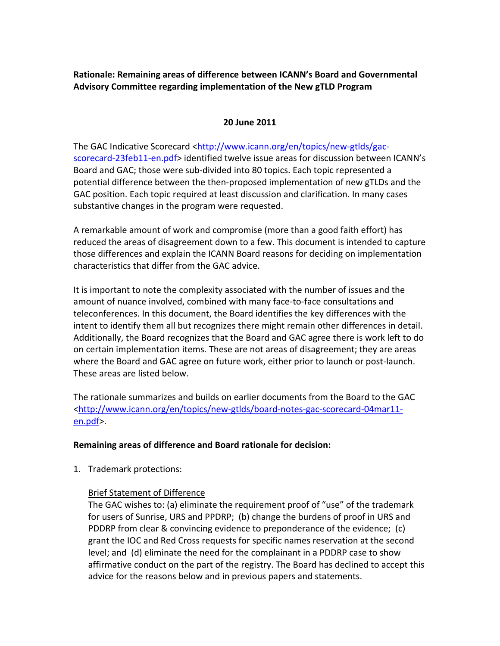**Rationale: Remaining areas of difference between ICANN's Board and Governmental Advisory Committee regarding implementation of the New gTLD Program**

#### **20 June 2011**

The GAC Indicative Scorecard <http://www.icann.org/en/topics/new-gtlds/gacscorecard-23feb11-en.pdf> identified twelve issue areas for discussion between ICANN's Board and GAC; those were sub-divided into 80 topics. Each topic represented a potential difference between the then-proposed implementation of new gTLDs and the GAC position. Each topic required at least discussion and clarification. In many cases substantive changes in the program were requested.

A remarkable amount of work and compromise (more than a good faith effort) has reduced the areas of disagreement down to a few. This document is intended to capture those differences and explain the ICANN Board reasons for deciding on implementation characteristics that differ from the GAC advice.

It is important to note the complexity associated with the number of issues and the amount of nuance involved, combined with many face-to-face consultations and teleconferences. In this document, the Board identifies the key differences with the intent to identify them all but recognizes there might remain other differences in detail. Additionally, the Board recognizes that the Board and GAC agree there is work left to do on certain implementation items. These are not areas of disagreement; they are areas where the Board and GAC agree on future work, either prior to launch or post-launch. These areas are listed below.

The rationale summarizes and builds on earlier documents from the Board to the GAC <http://www.icann.org/en/topics/new-gtlds/board-notes-gac-scorecard-04mar11en.pdf>.

### **Remaining areas of difference and Board rationale for decision:**

1. Trademark protections:

### Brief Statement of Difference

The GAC wishes to: (a) eliminate the requirement proof of "use" of the trademark for users of Sunrise, URS and PPDRP; (b) change the burdens of proof in URS and PDDRP from clear & convincing evidence to preponderance of the evidence; (c) grant the IOC and Red Cross requests for specific names reservation at the second level; and (d) eliminate the need for the complainant in a PDDRP case to show affirmative conduct on the part of the registry. The Board has declined to accept this advice for the reasons below and in previous papers and statements.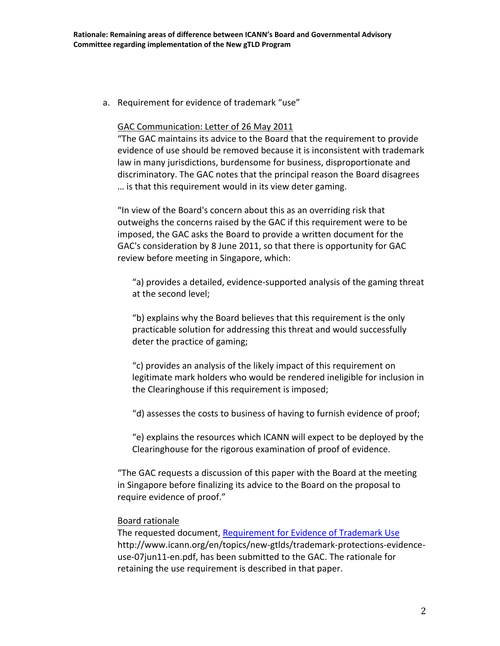a. Requirement for evidence of trademark "use"

#### GAC Communication: Letter of 26 May 2011

"The GAC maintains its advice to the Board that the requirement to provide evidence of use should be removed because it is inconsistent with trademark law in many jurisdictions, burdensome for business, disproportionate and discriminatory. The GAC notes that the principal reason the Board disagrees … is that this requirement would in its view deter gaming.

"In view of the Board's concern about this as an overriding risk that outweighs the concerns raised by the GAC if this requirement were to be imposed, the GAC asks the Board to provide a written document for the GAC's consideration by 8 June 2011, so that there is opportunity for GAC review before meeting in Singapore, which:

"a) provides a detailed, evidence-supported analysis of the gaming threat at the second level;

"b) explains why the Board believes that this requirement is the only practicable solution for addressing this threat and would successfully deter the practice of gaming;

"c) provides an analysis of the likely impact of this requirement on legitimate mark holders who would be rendered ineligible for inclusion in the Clearinghouse if this requirement is imposed;

"d) assesses the costs to business of having to furnish evidence of proof;

"e) explains the resources which ICANN will expect to be deployed by the Clearinghouse for the rigorous examination of proof of evidence.

"The GAC requests a discussion of this paper with the Board at the meeting in Singapore before finalizing its advice to the Board on the proposal to require evidence of proof."

#### Board rationale

The requested document, Requirement for Evidence of Trademark Use http://www.icann.org/en/topics/new-gtlds/trademark-protections-evidenceuse-07jun11-en.pdf, has been submitted to the GAC. The rationale for retaining the use requirement is described in that paper.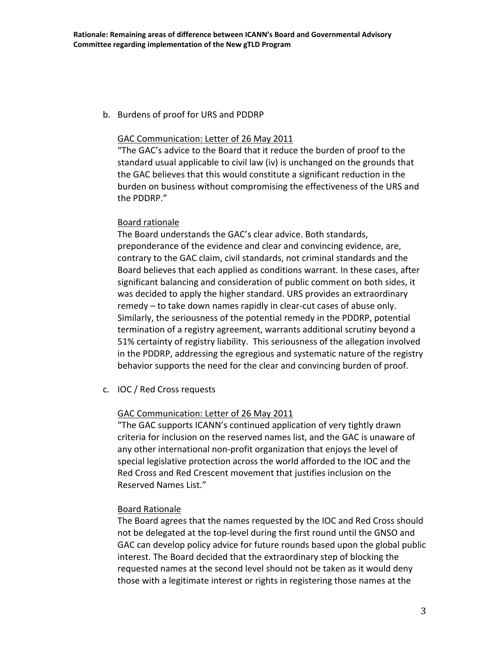b. Burdens of proof for URS and PDDRP

### GAC Communication: Letter of 26 May 2011

"The GAC's advice to the Board that it reduce the burden of proof to the standard usual applicable to civil law (iv) is unchanged on the grounds that the GAC believes that this would constitute a significant reduction in the burden on business without compromising the effectiveness of the URS and the PDDRP."

## Board rationale

The Board understands the GAC's clear advice. Both standards, preponderance of the evidence and clear and convincing evidence, are, contrary to the GAC claim, civil standards, not criminal standards and the Board believes that each applied as conditions warrant. In these cases, after significant balancing and consideration of public comment on both sides, it was decided to apply the higher standard. URS provides an extraordinary  $r$ emedy – to take down names rapidly in clear-cut cases of abuse only. Similarly, the seriousness of the potential remedy in the PDDRP, potential termination of a registry agreement, warrants additional scrutiny beyond a 51% certainty of registry liability. This seriousness of the allegation involved in the PDDRP, addressing the egregious and systematic nature of the registry behavior supports the need for the clear and convincing burden of proof.

c. IOC / Red Cross requests

# GAC Communication: Letter of 26 May 2011

"The GAC supports ICANN's continued application of very tightly drawn criteria for inclusion on the reserved names list, and the GAC is unaware of any other international non-profit organization that enjoys the level of special legislative protection across the world afforded to the IOC and the Red Cross and Red Crescent movement that justifies inclusion on the Reserved Names List."

# Board Rationale

The Board agrees that the names requested by the IOC and Red Cross should not be delegated at the top-level during the first round until the GNSO and GAC can develop policy advice for future rounds based upon the global public interest. The Board decided that the extraordinary step of blocking the requested names at the second level should not be taken as it would deny those with a legitimate interest or rights in registering those names at the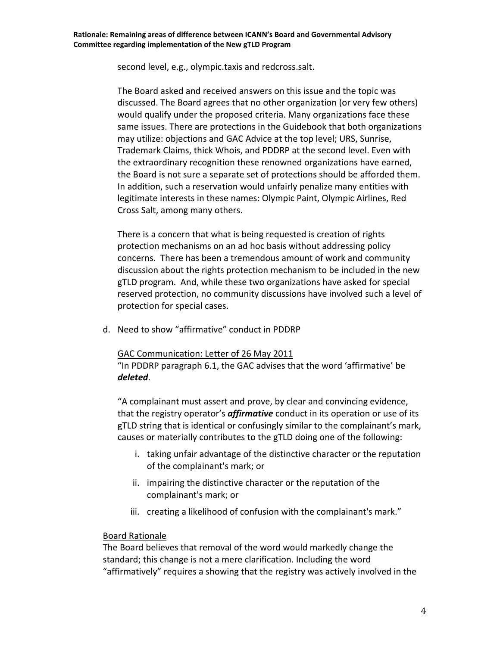second level, e.g., olympic.taxis and redcross.salt.

The Board asked and received answers on this issue and the topic was discussed. The Board agrees that no other organization (or very few others) would qualify under the proposed criteria. Many organizations face these same issues. There are protections in the Guidebook that both organizations may utilize: objections and GAC Advice at the top level; URS, Sunrise, Trademark Claims, thick Whois, and PDDRP at the second level. Even with the extraordinary recognition these renowned organizations have earned, the Board is not sure a separate set of protections should be afforded them. In addition, such a reservation would unfairly penalize many entities with legitimate interests in these names: Olympic Paint, Olympic Airlines, Red Cross Salt, among many others.

There is a concern that what is being requested is creation of rights protection mechanisms on an ad hoc basis without addressing policy concerns. There has been a tremendous amount of work and community discussion about the rights protection mechanism to be included in the new gTLD program. And, while these two organizations have asked for special reserved protection, no community discussions have involved such a level of protection for special cases.

d. Need to show "affirmative" conduct in PDDRP

### GAC Communication: Letter of 26 May 2011

"In PDDRP paragraph 6.1, the GAC advises that the word 'affirmative' be *deleted*.

"A complainant must assert and prove, by clear and convincing evidence, that the registry operator's *affirmative* conduct in its operation or use of its gTLD string that is identical or confusingly similar to the complainant's mark, causes or materially contributes to the gTLD doing one of the following:

- i. taking unfair advantage of the distinctive character or the reputation of the complainant's mark; or
- ii. impairing the distinctive character or the reputation of the complainant's mark; or
- iii. creating a likelihood of confusion with the complainant's mark."

# Board Rationale

The Board believes that removal of the word would markedly change the standard; this change is not a mere clarification. Including the word "affirmatively" requires a showing that the registry was actively involved in the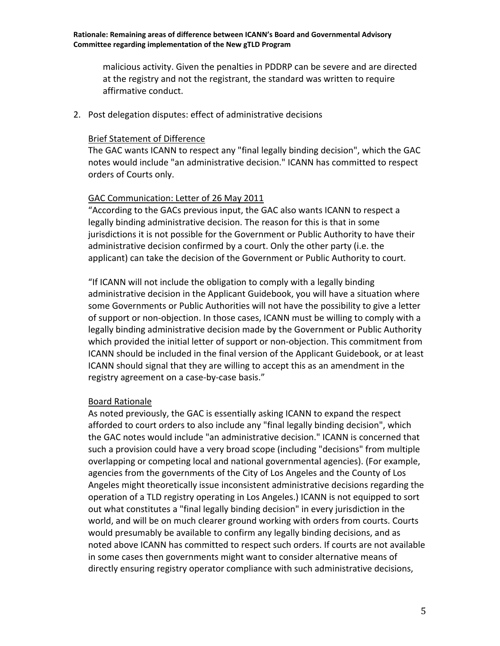malicious activity. Given the penalties in PDDRP can be severe and are directed at the registry and not the registrant, the standard was written to require affirmative conduct.

2. Post delegation disputes: effect of administrative decisions

### Brief Statement of Difference

The GAC wants ICANN to respect any "final legally binding decision", which the GAC notes would include "an administrative decision." ICANN has committed to respect orders of Courts only.

# GAC Communication: Letter of 26 May 2011

"According to the GACs previous input, the GAC also wants ICANN to respect a legally binding administrative decision. The reason for this is that in some jurisdictions it is not possible for the Government or Public Authority to have their administrative decision confirmed by a court. Only the other party (i.e. the applicant) can take the decision of the Government or Public Authority to court.

"If ICANN will not include the obligation to comply with a legally binding administrative decision in the Applicant Guidebook, you will have a situation where some Governments or Public Authorities will not have the possibility to give a letter of support or non-objection. In those cases, ICANN must be willing to comply with a legally binding administrative decision made by the Government or Public Authority which provided the initial letter of support or non-objection. This commitment from ICANN should be included in the final version of the Applicant Guidebook, or at least ICANN should signal that they are willing to accept this as an amendment in the registry agreement on a case-by-case basis."

# Board Rationale

As noted previously, the GAC is essentially asking ICANN to expand the respect afforded to court orders to also include any "final legally binding decision", which the GAC notes would include "an administrative decision." ICANN is concerned that such a provision could have a very broad scope (including "decisions" from multiple overlapping or competing local and national governmental agencies). (For example, agencies from the governments of the City of Los Angeles and the County of Los Angeles might theoretically issue inconsistent administrative decisions regarding the operation of a TLD registry operating in Los Angeles.) ICANN is not equipped to sort out what constitutes a "final legally binding decision" in every jurisdiction in the world, and will be on much clearer ground working with orders from courts. Courts would presumably be available to confirm any legally binding decisions, and as noted above ICANN has committed to respect such orders. If courts are not available in some cases then governments might want to consider alternative means of directly ensuring registry operator compliance with such administrative decisions,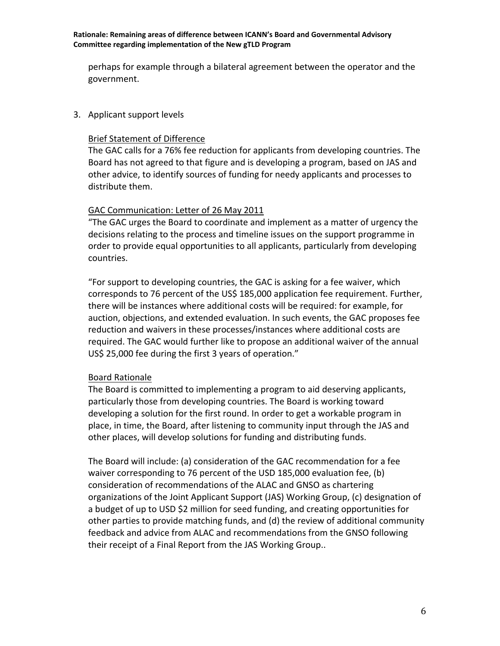perhaps for example through a bilateral agreement between the operator and the government.

3. Applicant support levels

## Brief Statement of Difference

The GAC calls for a 76% fee reduction for applicants from developing countries. The Board has not agreed to that figure and is developing a program, based on JAS and other advice, to identify sources of funding for needy applicants and processes to distribute them.

## GAC Communication: Letter of 26 May 2011

"The GAC urges the Board to coordinate and implement as a matter of urgency the decisions relating to the process and timeline issues on the support programme in order to provide equal opportunities to all applicants, particularly from developing countries.

"For support to developing countries, the GAC is asking for a fee waiver, which corresponds to 76 percent of the US\$ 185,000 application fee requirement. Further, there will be instances where additional costs will be required: for example, for auction, objections, and extended evaluation. In such events, the GAC proposes fee reduction and waivers in these processes/instances where additional costs are required. The GAC would further like to propose an additional waiver of the annual US\$ 25,000 fee during the first 3 years of operation."

# Board Rationale

The Board is committed to implementing a program to aid deserving applicants, particularly those from developing countries. The Board is working toward developing a solution for the first round. In order to get a workable program in place, in time, the Board, after listening to community input through the JAS and other places, will develop solutions for funding and distributing funds.

The Board will include: (a) consideration of the GAC recommendation for a fee waiver corresponding to 76 percent of the USD 185,000 evaluation fee, (b) consideration of recommendations of the ALAC and GNSO as chartering organizations of the Joint Applicant Support (JAS) Working Group, (c) designation of a budget of up to USD \$2 million for seed funding, and creating opportunities for other parties to provide matching funds, and (d) the review of additional community feedback and advice from ALAC and recommendations from the GNSO following their receipt of a Final Report from the JAS Working Group..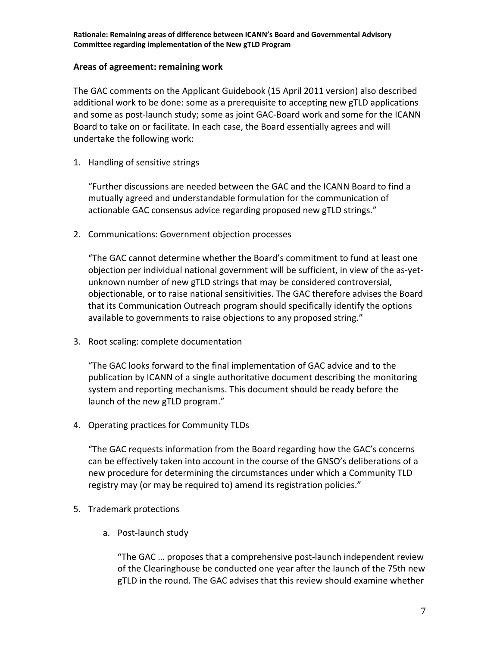## **Areas of agreement: remaining work**

The GAC comments on the Applicant Guidebook (15 April 2011 version) also described additional work to be done: some as a prerequisite to accepting new gTLD applications and some as post-launch study; some as joint GAC-Board work and some for the ICANN Board to take on or facilitate. In each case, the Board essentially agrees and will undertake the following work:

1. Handling of sensitive strings

"Further discussions are needed between the GAC and the ICANN Board to find a mutually agreed and understandable formulation for the communication of actionable GAC consensus advice regarding proposed new gTLD strings."

2. Communications: Government objection processes

"The GAC cannot determine whether the Board's commitment to fund at least one objection per individual national government will be sufficient, in view of the as-yetunknown number of new gTLD strings that may be considered controversial, objectionable, or to raise national sensitivities. The GAC therefore advises the Board that its Communication Outreach program should specifically identify the options available to governments to raise objections to any proposed string."

3. Root scaling: complete documentation

"The GAC looks forward to the final implementation of GAC advice and to the publication by ICANN of a single authoritative document describing the monitoring system and reporting mechanisms. This document should be ready before the launch of the new gTLD program."

4. Operating practices for Community TLDs

"The GAC requests information from the Board regarding how the GAC's concerns can be effectively taken into account in the course of the GNSO's deliberations of a new procedure for determining the circumstances under which a Community TLD registry may (or may be required to) amend its registration policies."

- 5. Trademark protections
	- a. Post-launch study

"The GAC ... proposes that a comprehensive post-launch independent review of the Clearinghouse be conducted one year after the launch of the 75th new gTLD in the round. The GAC advises that this review should examine whether